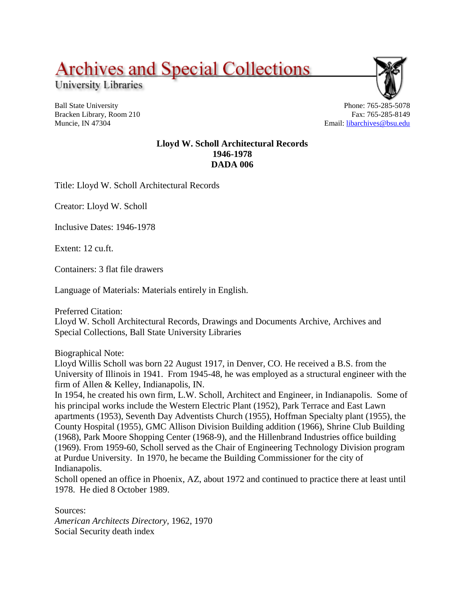**Archives and Special Collections** 

University Libraries

Ball State University Bracken Library, Room 210 Muncie, IN 47304

Phone: 765-285-5078 Fax: 765-285-8149 Email: [libarchives@bsu.edu](mailto:libarchives@bsu.edu)

## **Lloyd W. Scholl Architectural Records 1946-1978 DADA 006**

Title: Lloyd W. Scholl Architectural Records

Creator: Lloyd W. Scholl

Inclusive Dates: 1946-1978

Extent: 12 cu.ft.

Containers: 3 flat file drawers

Language of Materials: Materials entirely in English.

Preferred Citation:

Lloyd W. Scholl Architectural Records, Drawings and Documents Archive, Archives and Special Collections, Ball State University Libraries

Biographical Note:

Lloyd Willis Scholl was born 22 August 1917, in Denver, CO. He received a B.S. from the University of Illinois in 1941. From 1945-48, he was employed as a structural engineer with the firm of Allen & Kelley, Indianapolis, IN.

In 1954, he created his own firm, L.W. Scholl, Architect and Engineer, in Indianapolis. Some of his principal works include the Western Electric Plant (1952), Park Terrace and East Lawn apartments (1953), Seventh Day Adventists Church (1955), Hoffman Specialty plant (1955), the County Hospital (1955), GMC Allison Division Building addition (1966), Shrine Club Building (1968), Park Moore Shopping Center (1968-9), and the Hillenbrand Industries office building (1969). From 1959-60, Scholl served as the Chair of Engineering Technology Division program at Purdue University. In 1970, he became the Building Commissioner for the city of Indianapolis.

Scholl opened an office in Phoenix, AZ, about 1972 and continued to practice there at least until 1978. He died 8 October 1989.

Sources: *American Architects Directory,* 1962, 1970 Social Security death index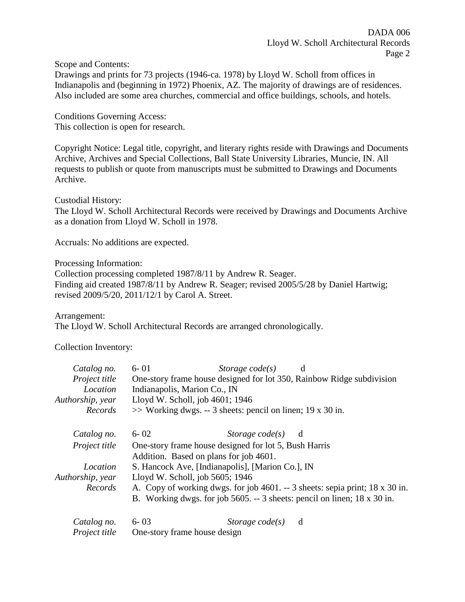Scope and Contents:

Drawings and prints for 73 projects (1946-ca. 1978) by Lloyd W. Scholl from offices in Indianapolis and (beginning in 1972) Phoenix, AZ. The majority of drawings are of residences. Also included are some area churches, commercial and office buildings, schools, and hotels.

Conditions Governing Access: This collection is open for research.

Copyright Notice: Legal title, copyright, and literary rights reside with Drawings and Documents Archive, Archives and Special Collections, Ball State University Libraries, Muncie, IN. All requests to publish or quote from manuscripts must be submitted to Drawings and Documents Archive.

Custodial History: The Lloyd W. Scholl Architectural Records were received by Drawings and Documents Archive as a donation from Lloyd W. Scholl in 1978.

Accruals: No additions are expected.

Processing Information:

Collection processing completed 1987/8/11 by Andrew R. Seager. Finding aid created 1987/8/11 by Andrew R. Seager; revised 2005/5/28 by Daniel Hartwig; revised 2009/5/20, 2011/12/1 by Carol A. Street.

Arrangement: The Lloyd W. Scholl Architectural Records are arranged chronologically.

Collection Inventory:

| Catalog no.          | $6 - 01$ | Storage $code(s)$                                                        | d                                                                            |
|----------------------|----------|--------------------------------------------------------------------------|------------------------------------------------------------------------------|
| Project title        |          | One-story frame house designed for lot 350, Rainbow Ridge subdivision    |                                                                              |
| Location             |          | Indianapolis, Marion Co., IN                                             |                                                                              |
| Authorship, year     |          | Lloyd W. Scholl, job 4601; 1946                                          |                                                                              |
| Records              |          | $\gg$ Working dwgs. -- 3 sheets: pencil on linen; 19 x 30 in.            |                                                                              |
| Catalog no.          | $6 - 02$ | Storage $code(s)$                                                        | d                                                                            |
| <i>Project title</i> |          | One-story frame house designed for lot 5, Bush Harris                    |                                                                              |
|                      |          | Addition. Based on plans for job 4601.                                   |                                                                              |
| Location             |          | S. Hancock Ave, [Indianapolis], [Marion Co.], IN                         |                                                                              |
| Authorship, year     |          | Lloyd W. Scholl, job 5605; 1946                                          |                                                                              |
| Records              |          |                                                                          | A. Copy of working dwgs. for job 4601. -- 3 sheets: sepia print; 18 x 30 in. |
|                      |          | B. Working dwgs. for job 5605. -- 3 sheets: pencil on linen; 18 x 30 in. |                                                                              |
| Catalog no.          | $6 - 03$ | Storage $code(s)$                                                        | d                                                                            |
| Project title        |          | One-story frame house design                                             |                                                                              |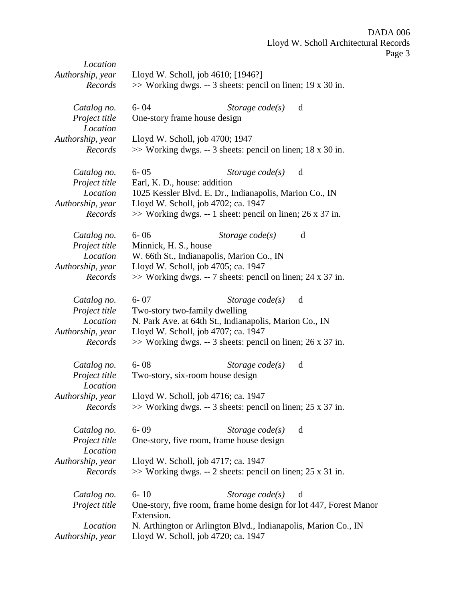| Location         |                                                                   |  |  |
|------------------|-------------------------------------------------------------------|--|--|
| Authorship, year | Lloyd W. Scholl, job 4610; [1946?]                                |  |  |
| Records          | $\gg$ Working dwgs. -- 3 sheets: pencil on linen; 19 x 30 in.     |  |  |
|                  |                                                                   |  |  |
| Catalog no.      | $6 - 04$<br>d<br>Storage $code(s)$                                |  |  |
| Project title    | One-story frame house design                                      |  |  |
| Location         |                                                                   |  |  |
| Authorship, year | Lloyd W. Scholl, job 4700; 1947                                   |  |  |
|                  |                                                                   |  |  |
| Records          | $\gg$ Working dwgs. -- 3 sheets: pencil on linen; 18 x 30 in.     |  |  |
|                  |                                                                   |  |  |
| Catalog no.      | $6 - 05$<br>Storage $code(s)$<br>d                                |  |  |
| Project title    | Earl, K. D., house: addition                                      |  |  |
| Location         | 1025 Kessler Blvd. E. Dr., Indianapolis, Marion Co., IN           |  |  |
| Authorship, year | Lloyd W. Scholl, job 4702; ca. 1947                               |  |  |
| Records          | $\gg$ Working dwgs. -- 1 sheet: pencil on linen; 26 x 37 in.      |  |  |
|                  |                                                                   |  |  |
| Catalog no.      | $6 - 06$<br>Storage $code(s)$<br>d                                |  |  |
| Project title    | Minnick, H. S., house                                             |  |  |
| Location         | W. 66th St., Indianapolis, Marion Co., IN                         |  |  |
|                  | Lloyd W. Scholl, job 4705; ca. 1947                               |  |  |
| Authorship, year |                                                                   |  |  |
| Records          | $\gg$ Working dwgs. -- 7 sheets: pencil on linen; 24 x 37 in.     |  |  |
|                  |                                                                   |  |  |
| Catalog no.      | $6 - 07$<br>Storage $code(s)$<br>d                                |  |  |
| Project title    | Two-story two-family dwelling                                     |  |  |
| Location         | N. Park Ave. at 64th St., Indianapolis, Marion Co., IN            |  |  |
| Authorship, year | Lloyd W. Scholl, job 4707; ca. 1947                               |  |  |
| Records          | $\gg$ Working dwgs. -- 3 sheets: pencil on linen; 26 x 37 in.     |  |  |
|                  |                                                                   |  |  |
| Catalog no.      | $6 - 08$<br>Storage $code(s)$<br>d                                |  |  |
| Project title    | Two-story, six-room house design                                  |  |  |
| Location         |                                                                   |  |  |
|                  |                                                                   |  |  |
| Authorship, year | Lloyd W. Scholl, job 4716; ca. 1947                               |  |  |
| Records          | >> Working dwgs. -- 3 sheets: pencil on linen; 25 x 37 in.        |  |  |
|                  |                                                                   |  |  |
| Catalog no.      | $6 - 09$<br>Storage $code(s)$<br>d                                |  |  |
| Project title    | One-story, five room, frame house design                          |  |  |
| Location         |                                                                   |  |  |
| Authorship, year | Lloyd W. Scholl, job 4717; ca. 1947                               |  |  |
| Records          | $\gg$ Working dwgs. -- 2 sheets: pencil on linen; 25 x 31 in.     |  |  |
|                  |                                                                   |  |  |
|                  | $6 - 10$<br>Storage $code(s)$<br>d                                |  |  |
| Catalog no.      |                                                                   |  |  |
| Project title    | One-story, five room, frame home design for lot 447, Forest Manor |  |  |
|                  | Extension.                                                        |  |  |
| Location         | N. Arthington or Arlington Blvd., Indianapolis, Marion Co., IN    |  |  |
| Authorship, year | Lloyd W. Scholl, job 4720; ca. 1947                               |  |  |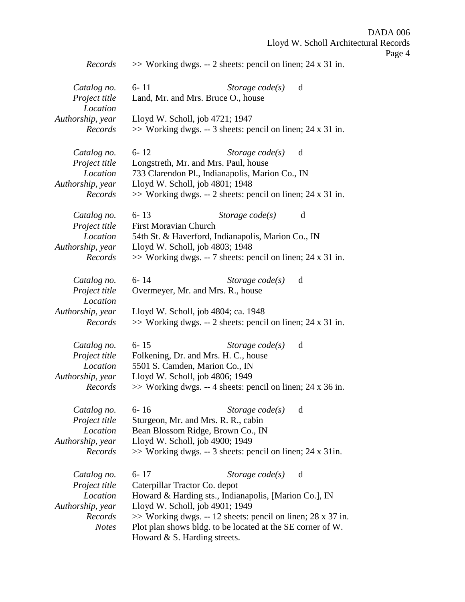DADA 006 Lloyd W. Scholl Architectural Records Page 4 *Records* >> Working dwgs. -- 2 sheets: pencil on linen; 24 x 31 in. *Catalog no.* 6- 11 *Storage code(s)* d *Project title* Land, Mr. and Mrs. Bruce O., house *Location Authorship, year* Lloyd W. Scholl, job 4721; 1947 *Records* >> Working dwgs. -- 3 sheets: pencil on linen; 24 x 31 in. *Catalog no.* 6- 12 *Storage code(s)* d *Project title* Longstreth, Mr. and Mrs. Paul, house *Location* 733 Clarendon Pl., Indianapolis, Marion Co., IN *Authorship, year* Lloyd W. Scholl, job 4801; 1948 *Records* >> Working dwgs. -- 2 sheets: pencil on linen; 24 x 31 in. *Catalog no.* 6- 13 *Storage code(s)* d *Project title* First Moravian Church *Location* 54th St. & Haverford, Indianapolis, Marion Co., IN *Authorship, year* Lloyd W. Scholl, job 4803; 1948 *Records* >> Working dwgs. -- 7 sheets: pencil on linen; 24 x 31 in. *Catalog no.* 6- 14 *Storage code(s)* d *Project title* Overmeyer, Mr. and Mrs. R., house *Location Authorship, year* Lloyd W. Scholl, job 4804; ca. 1948 *Records* >> Working dwgs. -- 2 sheets: pencil on linen; 24 x 31 in. *Catalog no.* 6- 15 *Storage code(s)* d *Project title* Folkening, Dr. and Mrs. H. C., house *Location* 5501 S. Camden, Marion Co., IN *Authorship, year* Lloyd W. Scholl, job 4806; 1949 *Records* >> Working dwgs. -- 4 sheets: pencil on linen; 24 x 36 in. *Catalog no.* 6- 16 *Storage code(s)* d *Project title* Sturgeon, Mr. and Mrs. R. R., cabin *Location* Bean Blossom Ridge, Brown Co., IN *Authorship, year* Lloyd W. Scholl, job 4900; 1949 *Records* >> Working dwgs. -- 3 sheets: pencil on linen; 24 x 31in.

*Catalog no.* 6- 17 *Storage code(s)* d *Project title* Caterpillar Tractor Co. depot *Location* Howard & Harding sts., Indianapolis, [Marion Co.], IN *Authorship, year* Lloyd W. Scholl, job 4901; 1949 *Records* >> Working dwgs. -- 12 sheets: pencil on linen; 28 x 37 in. *Notes* Plot plan shows bldg. to be located at the SE corner of W. Howard & S. Harding streets.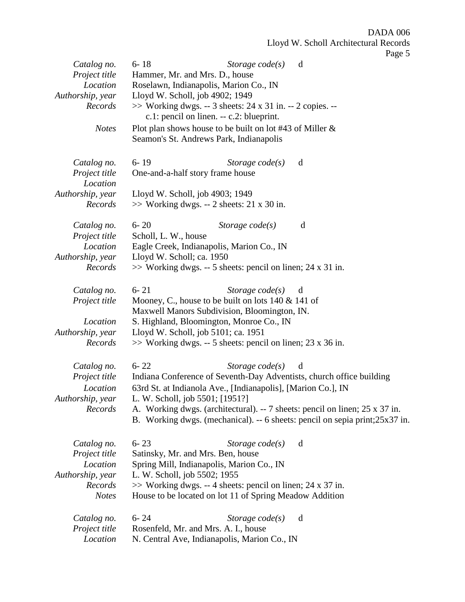| Catalog no.<br>Project title<br>Location<br>Authorship, year<br>Records<br><b>Notes</b> | ັ<br>$6 - 18$<br>Storage $code(s)$<br>d<br>Hammer, Mr. and Mrs. D., house<br>Roselawn, Indianapolis, Marion Co., IN<br>Lloyd W. Scholl, job 4902; 1949<br>>> Working dwgs. -- 3 sheets: 24 x 31 in. -- 2 copies. --<br>c.1: pencil on linen. -- c.2: blueprint.<br>Plot plan shows house to be built on lot #43 of Miller $\&$<br>Seamon's St. Andrews Park, Indianapolis    |
|-----------------------------------------------------------------------------------------|------------------------------------------------------------------------------------------------------------------------------------------------------------------------------------------------------------------------------------------------------------------------------------------------------------------------------------------------------------------------------|
| Catalog no.<br>Project title<br>Location<br>Authorship, year<br>Records                 | $6 - 19$<br>Storage $code(s)$<br>d<br>One-and-a-half story frame house<br>Lloyd W. Scholl, job 4903; 1949<br>$\gg$ Working dwgs. -- 2 sheets: 21 x 30 in.                                                                                                                                                                                                                    |
| Catalog no.<br>Project title<br>Location<br>Authorship, year<br>Records                 | $6 - 20$<br>d<br>Storage $code(s)$<br>Scholl, L. W., house<br>Eagle Creek, Indianapolis, Marion Co., IN<br>Lloyd W. Scholl; ca. 1950<br>$\gg$ Working dwgs. -- 5 sheets: pencil on linen; 24 x 31 in.                                                                                                                                                                        |
| Catalog no.<br>Project title<br>Location<br>Authorship, year<br>Records                 | $6 - 21$<br>Storage $code(s)$<br>d<br>Mooney, C., house to be built on lots $140 \& 141$ of<br>Maxwell Manors Subdivision, Bloomington, IN.<br>S. Highland, Bloomington, Monroe Co., IN<br>Lloyd W. Scholl, job 5101; ca. 1951<br>$\gg$ Working dwgs. -- 5 sheets: pencil on linen; 23 x 36 in.                                                                              |
| Catalog no.<br>Project title<br>Location<br>Authorship, year<br>Records                 | $6 - 22$<br>Storage $code(s)$<br>d<br>Indiana Conference of Seventh-Day Adventists, church office building<br>63rd St. at Indianola Ave., [Indianapolis], [Marion Co.], IN<br>L. W. Scholl, job 5501; [1951?]<br>A. Working dwgs. (architectural). -- 7 sheets: pencil on linen; 25 x 37 in.<br>B. Working dwgs. (mechanical). -- 6 sheets: pencil on sepia print; 25x37 in. |
| Catalog no.<br>Project title<br>Location<br>Authorship, year<br>Records<br><b>Notes</b> | $6 - 23$<br>Storage $code(s)$<br>d<br>Satinsky, Mr. and Mrs. Ben, house<br>Spring Mill, Indianapolis, Marion Co., IN<br>L. W. Scholl, job 5502; 1955<br>$\gg$ Working dwgs. -- 4 sheets: pencil on linen; 24 x 37 in.<br>House to be located on lot 11 of Spring Meadow Addition                                                                                             |
| Catalog no.<br>Project title<br>Location                                                | $6 - 24$<br>Storage code(s)<br>d<br>Rosenfeld, Mr. and Mrs. A. I., house<br>N. Central Ave, Indianapolis, Marion Co., IN                                                                                                                                                                                                                                                     |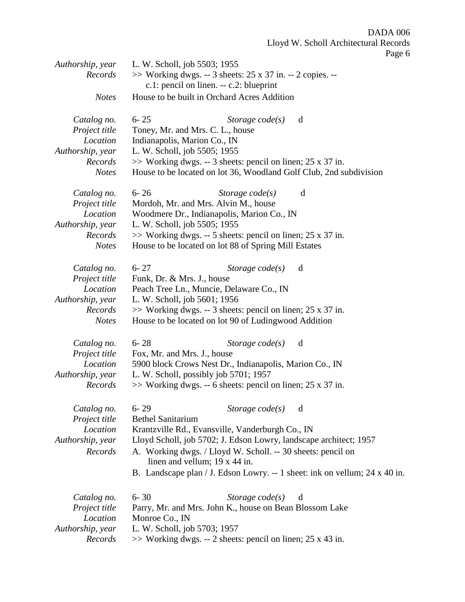Page 6

| Authorship, year            | L. W. Scholl, job 5503; 1955                                                                            |  |  |
|-----------------------------|---------------------------------------------------------------------------------------------------------|--|--|
| Records                     | $\gg$ Working dwgs. -- 3 sheets: 25 x 37 in. -- 2 copies. --<br>c.1: pencil on linen. -- c.2: blueprint |  |  |
| <b>Notes</b>                | House to be built in Orchard Acres Addition                                                             |  |  |
| Catalog no.                 | $6 - 25$<br>Storage $code(s)$<br>d                                                                      |  |  |
| Project title               | Toney, Mr. and Mrs. C. L., house                                                                        |  |  |
| Location                    | Indianapolis, Marion Co., IN                                                                            |  |  |
| Authorship, year            | L. W. Scholl, job 5505; 1955                                                                            |  |  |
| Records                     | $\gg$ Working dwgs. -- 3 sheets: pencil on linen; 25 x 37 in.                                           |  |  |
| <b>Notes</b>                | House to be located on lot 36, Woodland Golf Club, 2nd subdivision                                      |  |  |
|                             |                                                                                                         |  |  |
| Catalog no.                 | $6 - 26$<br>Storage $code(s)$<br>d                                                                      |  |  |
| Project title               | Mordoh, Mr. and Mrs. Alvin M., house                                                                    |  |  |
| Location                    | Woodmere Dr., Indianapolis, Marion Co., IN                                                              |  |  |
| Authorship, year            | L. W. Scholl, job 5505; 1955                                                                            |  |  |
| Records                     | $\gg$ Working dwgs. -- 5 sheets: pencil on linen; 25 x 37 in.                                           |  |  |
| <b>Notes</b>                | House to be located on lot 88 of Spring Mill Estates                                                    |  |  |
| Catalog no.                 | $6 - 27$<br>Storage $code(s)$<br>d                                                                      |  |  |
| Project title               | Funk, Dr. & Mrs. J., house                                                                              |  |  |
| Location                    | Peach Tree Ln., Muncie, Delaware Co., IN                                                                |  |  |
| Authorship, year            | L. W. Scholl, job 5601; 1956                                                                            |  |  |
| Records                     | $\gg$ Working dwgs. -- 3 sheets: pencil on linen; 25 x 37 in.                                           |  |  |
| <b>Notes</b>                | House to be located on lot 90 of Ludingwood Addition                                                    |  |  |
| Catalog no.                 | $6 - 28$<br>Storage $code(s)$<br>d                                                                      |  |  |
| Project title               | Fox, Mr. and Mrs. J., house                                                                             |  |  |
| Location                    | 5900 block Crows Nest Dr., Indianapolis, Marion Co., IN                                                 |  |  |
| Authorship, year            | L. W. Scholl, possibly job 5701; 1957                                                                   |  |  |
| Records                     | $\gg$ Working dwgs. -- 6 sheets: pencil on linen; 25 x 37 in.                                           |  |  |
|                             |                                                                                                         |  |  |
| Catalog no.                 | $6 - 29$<br>Storage $code(s)$<br>d                                                                      |  |  |
| Project title               | <b>Bethel Sanitarium</b>                                                                                |  |  |
| Location                    | Krantzville Rd., Evansville, Vanderburgh Co., IN                                                        |  |  |
| Authorship, year            | Lloyd Scholl, job 5702; J. Edson Lowry, landscape architect; 1957                                       |  |  |
| Records                     | A. Working dwgs. / Lloyd W. Scholl. -- 30 sheets: pencil on                                             |  |  |
|                             | linen and vellum; $19 \times 44$ in.                                                                    |  |  |
|                             | B. Landscape plan / J. Edson Lowry. -- 1 sheet: ink on vellum; 24 x 40 in.                              |  |  |
|                             |                                                                                                         |  |  |
| Catalog no.                 | $6 - 30$<br>Storage $code(s)$<br>d                                                                      |  |  |
| Project title<br>Location   | Parry, Mr. and Mrs. John K., house on Bean Blossom Lake                                                 |  |  |
|                             | Monroe Co., IN                                                                                          |  |  |
| Authorship, year<br>Records | L. W. Scholl, job 5703; 1957                                                                            |  |  |
|                             | $\gg$ Working dwgs. -- 2 sheets: pencil on linen; 25 x 43 in.                                           |  |  |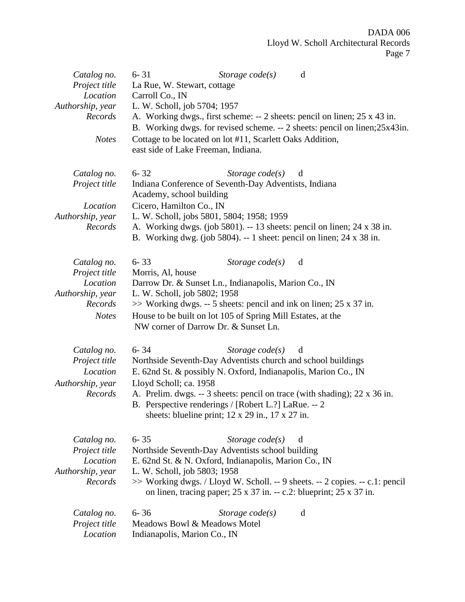| Catalog no.<br>Project title<br>Location<br>Authorship, year<br>Records<br><b>Notes</b> | $6 - 31$<br>Storage $code(s)$<br>d<br>La Rue, W. Stewart, cottage<br>Carroll Co., IN<br>L. W. Scholl, job 5704; 1957<br>A. Working dwgs., first scheme: -- 2 sheets: pencil on linen; 25 x 43 in.<br>B. Working dwgs. for revised scheme. -- 2 sheets: pencil on linen;25x43in.<br>Cottage to be located on lot #11, Scarlett Oaks Addition,<br>east side of Lake Freeman, Indiana.                   |
|-----------------------------------------------------------------------------------------|-------------------------------------------------------------------------------------------------------------------------------------------------------------------------------------------------------------------------------------------------------------------------------------------------------------------------------------------------------------------------------------------------------|
| Catalog no.<br>Project title<br>Location<br>Authorship, year<br>Records                 | $6 - 32$<br>Storage code(s)<br>d<br>Indiana Conference of Seventh-Day Adventists, Indiana<br>Academy, school building<br>Cicero, Hamilton Co., IN<br>L. W. Scholl, jobs 5801, 5804; 1958; 1959<br>A. Working dwgs. (job 5801). -- 13 sheets: pencil on linen; 24 x 38 in.<br>B. Working dwg. (job 5804). $-1$ sheet: pencil on linen; 24 x 38 in.                                                     |
| Catalog no.<br>Project title<br>Location<br>Authorship, year<br>Records<br><b>Notes</b> | $6 - 33$<br>Storage $code(s)$<br>d<br>Morris, Al, house<br>Darrow Dr. & Sunset Ln., Indianapolis, Marion Co., IN<br>L. W. Scholl, job 5802; 1958<br>$\gg$ Working dwgs. -- 5 sheets: pencil and ink on linen; 25 x 37 in.<br>House to be built on lot 105 of Spring Mill Estates, at the<br>NW corner of Darrow Dr. & Sunset Ln.                                                                      |
| Catalog no.<br>Project title<br>Location<br>Authorship, year<br>Records                 | $6 - 34$<br>Storage $code(s)$<br>d<br>Northside Seventh-Day Adventists church and school buildings<br>E. 62nd St. & possibly N. Oxford, Indianapolis, Marion Co., IN<br>Lloyd Scholl; ca. 1958<br>A. Prelim. dwgs. -- 3 sheets: pencil on trace (with shading); 22 x 36 in.<br>B. Perspective renderings / [Robert L.?] LaRue. -- 2<br>sheets: blueline print; $12 \times 29$ in., $17 \times 27$ in. |
| Catalog no.<br>Project title<br>Location<br>Authorship, year<br>Records                 | $6 - 35$<br>Storage $code(s)$<br>d<br>Northside Seventh-Day Adventists school building<br>E. 62nd St. & N. Oxford, Indianapolis, Marion Co., IN<br>L. W. Scholl, job 5803; 1958<br>>> Working dwgs. / Lloyd W. Scholl. -- 9 sheets. -- 2 copies. -- c.1: pencil<br>on linen, tracing paper; $25 \times 37$ in. -- c.2: blueprint; $25 \times 37$ in.                                                  |
| Catalog no.<br>Project title<br>Location                                                | $6 - 36$<br>Storage $code(s)$<br>d<br>Meadows Bowl & Meadows Motel<br>Indianapolis, Marion Co., IN                                                                                                                                                                                                                                                                                                    |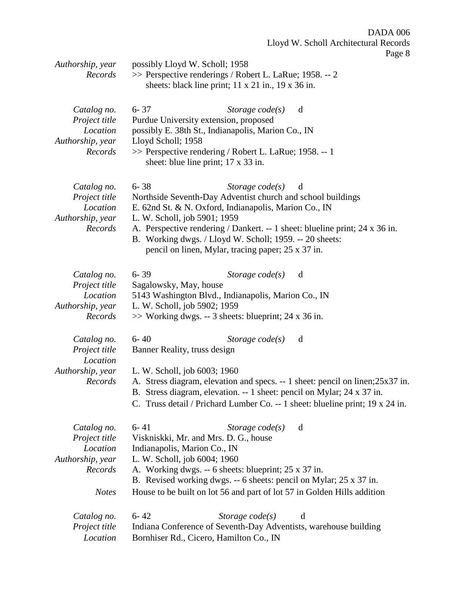Page 8

|                              |                                                                                                                                                               |                                                                                               | - ־ ־                                                                          |  |
|------------------------------|---------------------------------------------------------------------------------------------------------------------------------------------------------------|-----------------------------------------------------------------------------------------------|--------------------------------------------------------------------------------|--|
| Authorship, year<br>Records  | possibly Lloyd W. Scholl; 1958<br>>> Perspective renderings / Robert L. LaRue; 1958. -- 2<br>sheets: black line print; $11 \times 21$ in., $19 \times 36$ in. |                                                                                               |                                                                                |  |
|                              |                                                                                                                                                               |                                                                                               |                                                                                |  |
| Catalog no.<br>Project title | $6 - 37$                                                                                                                                                      | Storage $code(s)$<br>Purdue University extension, proposed                                    | d                                                                              |  |
| Location<br>Authorship, year | Lloyd Scholl; 1958                                                                                                                                            | possibly E. 38th St., Indianapolis, Marion Co., IN                                            |                                                                                |  |
| Records                      |                                                                                                                                                               | >> Perspective rendering / Robert L. LaRue; 1958. -- 1<br>sheet: blue line print; 17 x 33 in. |                                                                                |  |
| Catalog no.                  | $6 - 38$                                                                                                                                                      | Storage $code(s)$                                                                             | d                                                                              |  |
| Project title<br>Location    |                                                                                                                                                               | Northside Seventh-Day Adventist church and school buildings                                   |                                                                                |  |
| Authorship, year             | L. W. Scholl, job 5901; 1959                                                                                                                                  | E. 62nd St. & N. Oxford, Indianapolis, Marion Co., IN                                         |                                                                                |  |
| Records                      |                                                                                                                                                               | A. Perspective rendering / Dankert. -- 1 sheet: blueline print; 24 x 36 in.                   |                                                                                |  |
|                              |                                                                                                                                                               | B. Working dwgs. / Lloyd W. Scholl; 1959. -- 20 sheets:                                       |                                                                                |  |
|                              |                                                                                                                                                               | pencil on linen, Mylar, tracing paper; 25 x 37 in.                                            |                                                                                |  |
| Catalog no.                  | $6 - 39$                                                                                                                                                      | Storage $code(s)$                                                                             | d                                                                              |  |
| Project title                | Sagalowsky, May, house                                                                                                                                        |                                                                                               |                                                                                |  |
| Location<br>Authorship, year | 5143 Washington Blvd., Indianapolis, Marion Co., IN<br>L. W. Scholl, job 5902; 1959                                                                           |                                                                                               |                                                                                |  |
| Records                      |                                                                                                                                                               | $\gg$ Working dwgs. -- 3 sheets: blueprint; 24 x 36 in.                                       |                                                                                |  |
| Catalog no.                  | $6 - 40$                                                                                                                                                      | Storage $code(s)$                                                                             | d                                                                              |  |
| Project title<br>Location    | Banner Reality, truss design                                                                                                                                  |                                                                                               |                                                                                |  |
| Authorship, year             | L. W. Scholl, job 6003; 1960                                                                                                                                  |                                                                                               |                                                                                |  |
| Records                      |                                                                                                                                                               |                                                                                               | A. Stress diagram, elevation and specs. -- 1 sheet: pencil on linen; 25x37 in. |  |
|                              |                                                                                                                                                               | B. Stress diagram, elevation. -- 1 sheet: pencil on Mylar; 24 x 37 in.                        | C. Truss detail / Prichard Lumber Co. -- 1 sheet: blueline print; 19 x 24 in.  |  |
|                              |                                                                                                                                                               |                                                                                               |                                                                                |  |
| Catalog no.                  | $6 - 41$                                                                                                                                                      | Storage $code(s)$                                                                             | d                                                                              |  |
| Project title                |                                                                                                                                                               | Viskniskki, Mr. and Mrs. D. G., house                                                         |                                                                                |  |
| Location<br>Authorship, year | Indianapolis, Marion Co., IN<br>L. W. Scholl, job 6004; 1960                                                                                                  |                                                                                               |                                                                                |  |
| Records                      | A. Working dwgs. -- 6 sheets: blueprint; 25 x 37 in.<br>B. Revised working dwgs. -- 6 sheets: pencil on Mylar; 25 x 37 in.                                    |                                                                                               |                                                                                |  |
| <b>Notes</b>                 |                                                                                                                                                               | House to be built on lot 56 and part of lot 57 in Golden Hills addition                       |                                                                                |  |
|                              |                                                                                                                                                               |                                                                                               |                                                                                |  |
| Catalog no.<br>Project title | $6 - 42$                                                                                                                                                      | Storage $code(s)$<br>Indiana Conference of Seventh-Day Adventists, warehouse building         | d                                                                              |  |
| Location                     |                                                                                                                                                               | Bornhiser Rd., Cicero, Hamilton Co., IN                                                       |                                                                                |  |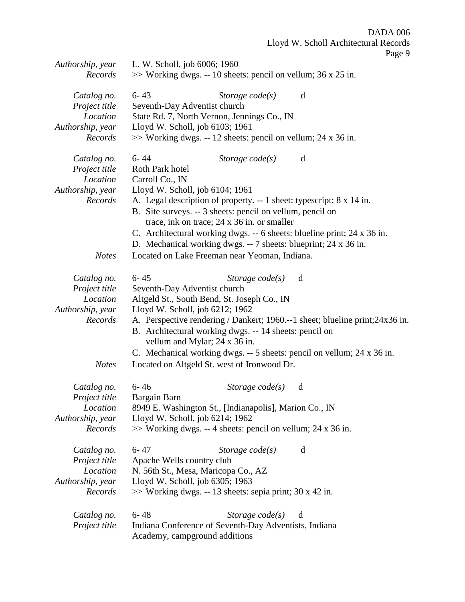| Authorship, year<br>Records                                             | L. W. Scholl, job 6006; 1960<br>$\gg$ Working dwgs. -- 10 sheets: pencil on vellum; 36 x 25 in.                                                                                                                                                                                                                                  |
|-------------------------------------------------------------------------|----------------------------------------------------------------------------------------------------------------------------------------------------------------------------------------------------------------------------------------------------------------------------------------------------------------------------------|
| Catalog no.<br>Project title<br>Location<br>Authorship, year<br>Records | $6 - 43$<br>Storage $code(s)$<br>d<br>Seventh-Day Adventist church<br>State Rd. 7, North Vernon, Jennings Co., IN<br>Lloyd W. Scholl, job 6103; 1961<br>$\gg$ Working dwgs. -- 12 sheets: pencil on vellum; 24 x 36 in.                                                                                                          |
| Catalog no.<br>Project title<br>Location<br>Authorship, year<br>Records | $6 - 44$<br>Storage $code(s)$<br>d<br>Roth Park hotel<br>Carroll Co., IN<br>Lloyd W. Scholl, job 6104; 1961<br>A. Legal description of property. -- 1 sheet: typescript; 8 x 14 in.<br>B. Site surveys. -- 3 sheets: pencil on vellum, pencil on<br>trace, ink on trace; 24 x 36 in. or smaller                                  |
|                                                                         | C. Architectural working dwgs. -- 6 sheets: blueline print; 24 x 36 in.<br>D. Mechanical working dwgs. -- 7 sheets: blueprint; 24 x 36 in.<br>Located on Lake Freeman near Yeoman, Indiana.                                                                                                                                      |
| <b>Notes</b>                                                            |                                                                                                                                                                                                                                                                                                                                  |
| Catalog no.<br>Project title<br>Location<br>Authorship, year<br>Records | $6 - 45$<br>Storage $code(s)$<br>d<br>Seventh-Day Adventist church<br>Altgeld St., South Bend, St. Joseph Co., IN<br>Lloyd W. Scholl, job 6212; 1962<br>A. Perspective rendering / Dankert; 1960.--1 sheet; blueline print; 24x36 in.<br>B. Architectural working dwgs. -- 14 sheets: pencil on<br>vellum and Mylar; 24 x 36 in. |
| <b>Notes</b>                                                            | C. Mechanical working dwgs. -- 5 sheets: pencil on vellum; 24 x 36 in.<br>Located on Altgeld St. west of Ironwood Dr.                                                                                                                                                                                                            |
| Catalog no.<br>Project title<br>Location<br>Authorship, year<br>Records | $6 - 46$<br>Storage $code(s)$<br>d<br>Bargain Barn<br>8949 E. Washington St., [Indianapolis], Marion Co., IN<br>Lloyd W. Scholl, job 6214; 1962<br>$\gg$ Working dwgs. -- 4 sheets: pencil on vellum; 24 x 36 in.                                                                                                                |
| Catalog no.<br>Project title<br>Location<br>Authorship, year<br>Records | $6 - 47$<br>Storage $code(s)$<br>d<br>Apache Wells country club<br>N. 56th St., Mesa, Maricopa Co., AZ<br>Lloyd W. Scholl, job 6305; 1963<br>$\gg$ Working dwgs. -- 13 sheets: sepia print; 30 x 42 in.                                                                                                                          |
| Catalog no.<br>Project title                                            | $6 - 48$<br>Storage $code(s)$<br>d<br>Indiana Conference of Seventh-Day Adventists, Indiana<br>Academy, campground additions                                                                                                                                                                                                     |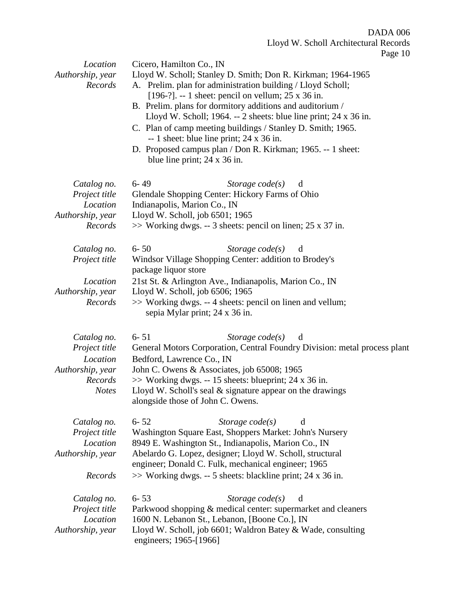| Location<br>Authorship, year<br>Records                                                 | Page 10<br>Cicero, Hamilton Co., IN<br>Lloyd W. Scholl; Stanley D. Smith; Don R. Kirkman; 1964-1965<br>A. Prelim. plan for administration building / Lloyd Scholl;<br>[196-?]. -- 1 sheet: pencil on vellum; $25 \times 36$ in.<br>B. Prelim. plans for dormitory additions and auditorium /<br>Lloyd W. Scholl; 1964. -- 2 sheets: blue line print; $24 \times 36$ in.<br>C. Plan of camp meeting buildings / Stanley D. Smith; 1965.<br>$-1$ sheet: blue line print; 24 x 36 in.<br>D. Proposed campus plan / Don R. Kirkman; 1965. -- 1 sheet:<br>blue line print; $24 \times 36$ in. |  |
|-----------------------------------------------------------------------------------------|------------------------------------------------------------------------------------------------------------------------------------------------------------------------------------------------------------------------------------------------------------------------------------------------------------------------------------------------------------------------------------------------------------------------------------------------------------------------------------------------------------------------------------------------------------------------------------------|--|
| Catalog no.<br>Project title<br>Location<br>Authorship, year<br>Records                 | $6 - 49$<br>Storage $code(s)$<br>d<br>Glendale Shopping Center: Hickory Farms of Ohio<br>Indianapolis, Marion Co., IN<br>Lloyd W. Scholl, job 6501; 1965<br>$\gg$ Working dwgs. -- 3 sheets: pencil on linen; 25 x 37 in.                                                                                                                                                                                                                                                                                                                                                                |  |
| Catalog no.<br>Project title<br>Location                                                | $6 - 50$<br>Storage $code(s)$<br>d<br>Windsor Village Shopping Center: addition to Brodey's<br>package liquor store<br>21st St. & Arlington Ave., Indianapolis, Marion Co., IN                                                                                                                                                                                                                                                                                                                                                                                                           |  |
| Authorship, year<br>Records                                                             | Lloyd W. Scholl, job 6506; 1965<br>>> Working dwgs. -- 4 sheets: pencil on linen and vellum;<br>sepia Mylar print; 24 x 36 in.                                                                                                                                                                                                                                                                                                                                                                                                                                                           |  |
| Catalog no.<br>Project title<br>Location<br>Authorship, year<br>Records<br><b>Notes</b> | $6 - 51$<br>Storage $code(s)$<br>d<br>General Motors Corporation, Central Foundry Division: metal process plant<br>Bedford, Lawrence Co., IN<br>John C. Owens & Associates, job 65008; 1965<br>$\gg$ Working dwgs. -- 15 sheets: blueprint; 24 x 36 in.<br>Lloyd W. Scholl's seal & signature appear on the drawings<br>alongside those of John C. Owens.                                                                                                                                                                                                                                |  |
| Catalog no.<br>Project title<br>Location<br>Authorship, year                            | $6 - 52$<br>Storage $code(s)$<br>d<br>Washington Square East, Shoppers Market: John's Nursery<br>8949 E. Washington St., Indianapolis, Marion Co., IN<br>Abelardo G. Lopez, designer; Lloyd W. Scholl, structural<br>engineer; Donald C. Fulk, mechanical engineer; 1965                                                                                                                                                                                                                                                                                                                 |  |
| Records                                                                                 | >> Working dwgs. -- 5 sheets: blackline print; 24 x 36 in.                                                                                                                                                                                                                                                                                                                                                                                                                                                                                                                               |  |
| Catalog no.<br>Project title<br>Location<br>Authorship, year                            | $6 - 53$<br>Storage $code(s)$<br>d<br>Parkwood shopping & medical center: supermarket and cleaners<br>1600 N. Lebanon St., Lebanon, [Boone Co.], IN<br>Lloyd W. Scholl, job 6601; Waldron Batey & Wade, consulting<br>engineers; 1965-[1966]                                                                                                                                                                                                                                                                                                                                             |  |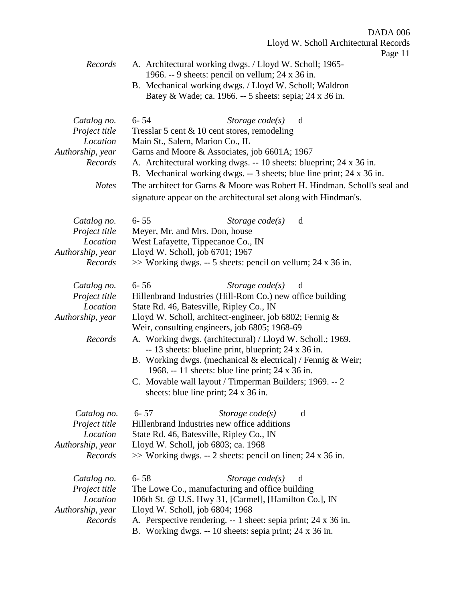| Records                                                                                 | A. Architectural working dwgs. / Lloyd W. Scholl; 1965-<br>1966. -- 9 sheets: pencil on vellum; $24 \times 36$ in.<br>B. Mechanical working dwgs. / Lloyd W. Scholl; Waldron<br>Batey & Wade; ca. 1966. -- 5 sheets: sepia; 24 x 36 in.                                                                                                                                                                                                                                                                                                                                                                   |
|-----------------------------------------------------------------------------------------|-----------------------------------------------------------------------------------------------------------------------------------------------------------------------------------------------------------------------------------------------------------------------------------------------------------------------------------------------------------------------------------------------------------------------------------------------------------------------------------------------------------------------------------------------------------------------------------------------------------|
| Catalog no.<br>Project title<br>Location<br>Authorship, year<br>Records<br><b>Notes</b> | $6 - 54$<br>Storage $code(s)$<br>d<br>Tresslar 5 cent $\&$ 10 cent stores, remodeling<br>Main St., Salem, Marion Co., IL<br>Garns and Moore & Associates, job 6601A; 1967<br>A. Architectural working dwgs. -- 10 sheets: blueprint; 24 x 36 in.<br>B. Mechanical working dwgs. -- 3 sheets; blue line print; 24 x 36 in.<br>The architect for Garns & Moore was Robert H. Hindman. Scholl's seal and                                                                                                                                                                                                     |
|                                                                                         | signature appear on the architectural set along with Hindman's.                                                                                                                                                                                                                                                                                                                                                                                                                                                                                                                                           |
| Catalog no.<br>Project title<br>Location<br>Authorship, year<br>Records                 | $6 - 55$<br>Storage code(s)<br>d<br>Meyer, Mr. and Mrs. Don, house<br>West Lafayette, Tippecanoe Co., IN<br>Lloyd W. Scholl, job 6701; 1967<br>$\gg$ Working dwgs. -- 5 sheets: pencil on vellum; 24 x 36 in.                                                                                                                                                                                                                                                                                                                                                                                             |
| Catalog no.<br>Project title<br>Location<br>Authorship, year<br>Records                 | $6 - 56$<br>Storage $code(s)$<br>d<br>Hillenbrand Industries (Hill-Rom Co.) new office building<br>State Rd. 46, Batesville, Ripley Co., IN<br>Lloyd W. Scholl, architect-engineer, job 6802; Fennig &<br>Weir, consulting engineers, job 6805; 1968-69<br>A. Working dwgs. (architectural) / Lloyd W. Scholl.; 1969.<br>-- 13 sheets: blueline print, blueprint; 24 x 36 in.<br>B. Working dwgs. (mechanical $\&$ electrical) / Fennig $\&$ Weir;<br>1968. -- 11 sheets: blue line print; 24 x 36 in.<br>C. Movable wall layout / Timperman Builders; 1969. -- 2<br>sheets: blue line print; 24 x 36 in. |
| Catalog no.<br>Project title<br>Location<br>Authorship, year<br>Records                 | $6 - 57$<br>Storage $code(s)$<br>d<br>Hillenbrand Industries new office additions<br>State Rd. 46, Batesville, Ripley Co., IN<br>Lloyd W. Scholl, job 6803; ca. 1968<br>$\gg$ Working dwgs. -- 2 sheets: pencil on linen; 24 x 36 in.                                                                                                                                                                                                                                                                                                                                                                     |
| Catalog no.<br>Project title<br>Location<br>Authorship, year<br>Records                 | $6 - 58$<br>Storage $code(s)$<br>d<br>The Lowe Co., manufacturing and office building<br>106th St. @ U.S. Hwy 31, [Carmel], [Hamilton Co.], IN<br>Lloyd W. Scholl, job 6804; 1968<br>A. Perspective rendering. -- 1 sheet: sepia print; 24 x 36 in.<br>B. Working dwgs. -- 10 sheets: sepia print; 24 x 36 in.                                                                                                                                                                                                                                                                                            |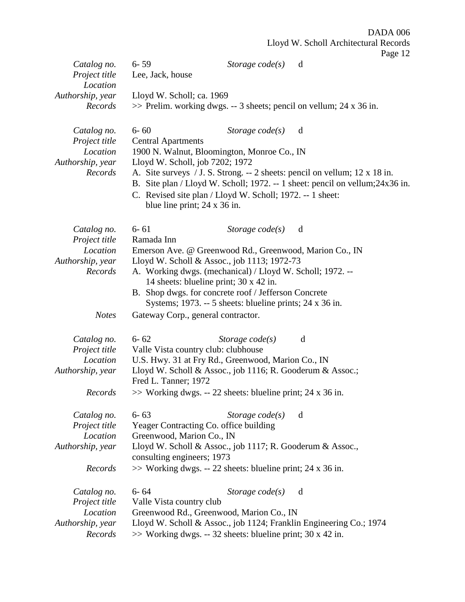|                              |                                     |                                                                               |   | $1 \text{ age} 12$ |
|------------------------------|-------------------------------------|-------------------------------------------------------------------------------|---|--------------------|
| Catalog no.<br>Project title | $6 - 59$<br>Lee, Jack, house        | Storage $code(s)$                                                             | d |                    |
| Location                     |                                     |                                                                               |   |                    |
| Authorship, year             | Lloyd W. Scholl; ca. 1969           |                                                                               |   |                    |
| Records                      |                                     | $\gg$ Prelim. working dwgs. -- 3 sheets; pencil on vellum; 24 x 36 in.        |   |                    |
|                              |                                     |                                                                               |   |                    |
| Catalog no.                  | $6 - 60$                            | Storage $code(s)$                                                             | d |                    |
| Project title                | <b>Central Apartments</b>           |                                                                               |   |                    |
| Location                     |                                     | 1900 N. Walnut, Bloomington, Monroe Co., IN                                   |   |                    |
| Authorship, year             | Lloyd W. Scholl, job 7202; 1972     |                                                                               |   |                    |
| Records                      |                                     | A. Site surveys / J. S. Strong. -- 2 sheets: pencil on vellum; 12 x 18 in.    |   |                    |
|                              |                                     | B. Site plan / Lloyd W. Scholl; 1972. -- 1 sheet: pencil on vellum; 24x36 in. |   |                    |
|                              |                                     | C. Revised site plan / Lloyd W. Scholl; 1972. -- 1 sheet:                     |   |                    |
|                              | blue line print; $24 \times 36$ in. |                                                                               |   |                    |
| Catalog no.                  | $6 - 61$                            | Storage $code(s)$                                                             | d |                    |
| Project title                | Ramada Inn                          |                                                                               |   |                    |
| Location                     |                                     | Emerson Ave. @ Greenwood Rd., Greenwood, Marion Co., IN                       |   |                    |
| Authorship, year             |                                     | Lloyd W. Scholl & Assoc., job 1113; 1972-73                                   |   |                    |
| Records                      |                                     | A. Working dwgs. (mechanical) / Lloyd W. Scholl; 1972. --                     |   |                    |
|                              |                                     | 14 sheets: blueline print; 30 x 42 in.                                        |   |                    |
|                              |                                     | B. Shop dwgs. for concrete roof / Jefferson Concrete                          |   |                    |
|                              |                                     | Systems; 1973. -- 5 sheets: blueline prints; 24 x 36 in.                      |   |                    |
| <b>Notes</b>                 | Gateway Corp., general contractor.  |                                                                               |   |                    |
|                              | $6 - 62$                            |                                                                               | d |                    |
| Catalog no.<br>Project title | Valle Vista country club: clubhouse | Storage $code(s)$                                                             |   |                    |
| Location                     |                                     | U.S. Hwy. 31 at Fry Rd., Greenwood, Marion Co., IN                            |   |                    |
| Authorship, year             |                                     | Lloyd W. Scholl & Assoc., job 1116; R. Gooderum & Assoc.;                     |   |                    |
|                              | Fred L. Tanner; 1972                |                                                                               |   |                    |
| Records                      |                                     | >> Working dwgs. -- 22 sheets: blueline print; 24 x 36 in.                    |   |                    |
|                              |                                     |                                                                               |   |                    |
| Catalog no.                  | $6 - 63$                            | Storage $code(s)$                                                             | d |                    |
| Project title                |                                     | Yeager Contracting Co. office building                                        |   |                    |
| Location                     | Greenwood, Marion Co., IN           |                                                                               |   |                    |
| Authorship, year             | consulting engineers; 1973          | Lloyd W. Scholl & Assoc., job 1117; R. Gooderum & Assoc.,                     |   |                    |
| Records                      |                                     | $\gg$ Working dwgs. -- 22 sheets: blueline print; 24 x 36 in.                 |   |                    |
|                              |                                     |                                                                               |   |                    |
| Catalog no.                  | $6 - 64$                            | Storage $code(s)$                                                             | d |                    |
| Project title                | Valle Vista country club            |                                                                               |   |                    |
| Location                     |                                     | Greenwood Rd., Greenwood, Marion Co., IN                                      |   |                    |
| Authorship, year             |                                     | Lloyd W. Scholl & Assoc., job 1124; Franklin Engineering Co.; 1974            |   |                    |
| Records                      |                                     | $\gg$ Working dwgs. -- 32 sheets: blueline print; 30 x 42 in.                 |   |                    |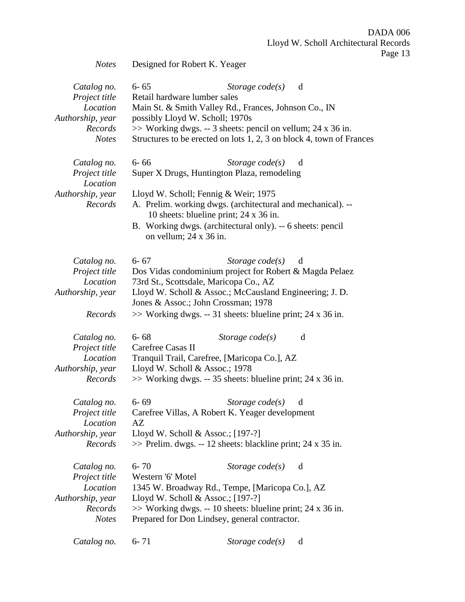*Notes* Designed for Robert K. Yeager

| Catalog no.<br>Project title<br>Location<br>Authorship, year<br>Records<br><b>Notes</b> | $6 - 65$<br>Storage $code(s)$<br>d<br>Retail hardware lumber sales<br>Main St. & Smith Valley Rd., Frances, Johnson Co., IN<br>possibly Lloyd W. Scholl; 1970s<br>>> Working dwgs. -- 3 sheets: pencil on vellum; 24 x 36 in.<br>Structures to be erected on lots 1, 2, 3 on block 4, town of Frances                             |  |
|-----------------------------------------------------------------------------------------|-----------------------------------------------------------------------------------------------------------------------------------------------------------------------------------------------------------------------------------------------------------------------------------------------------------------------------------|--|
| Catalog no.<br>Project title<br>Location<br>Authorship, year<br>Records                 | $6 - 66$<br>Storage $code(s)$<br>d<br>Super X Drugs, Huntington Plaza, remodeling<br>Lloyd W. Scholl; Fennig & Weir; 1975<br>A. Prelim. working dwgs. (architectural and mechanical). --<br>10 sheets: blueline print; 24 x 36 in.<br>B. Working dwgs. (architectural only). -- 6 sheets: pencil<br>on vellum; $24 \times 36$ in. |  |
| Catalog no.<br>Project title<br>Location<br>Authorship, year<br>Records                 | $6 - 67$<br>Storage $code(s)$<br>d<br>Dos Vidas condominium project for Robert & Magda Pelaez<br>73rd St., Scottsdale, Maricopa Co., AZ<br>Lloyd W. Scholl & Assoc.; McCausland Engineering; J. D.<br>Jones & Assoc.; John Crossman; 1978<br>$\gg$ Working dwgs. -- 31 sheets: blueline print; 24 x 36 in.                        |  |
| Catalog no.<br>Project title<br>Location<br>Authorship, year<br>Records                 | $6 - 68$<br>Storage $code(s)$<br>d<br>Carefree Casas II<br>Tranquil Trail, Carefree, [Maricopa Co.], AZ<br>Lloyd W. Scholl & Assoc.; 1978<br>$\gg$ Working dwgs. -- 35 sheets: blueline print; 24 x 36 in.                                                                                                                        |  |
| Catalog no.<br>Project title<br>Location<br>Authorship, year<br>Records                 | $6 - 69$<br>Storage $code(s)$<br>d<br>Carefree Villas, A Robert K. Yeager development<br>AZ<br>Lloyd W. Scholl & Assoc.; $[197-?]$<br>$\gg$ Prelim. dwgs. -- 12 sheets: blackline print; 24 x 35 in.                                                                                                                              |  |
| Catalog no.<br>Project title<br>Location<br>Authorship, year<br>Records<br><b>Notes</b> | $6 - 70$<br>Storage $code(s)$<br>d<br>Western '6' Motel<br>1345 W. Broadway Rd., Tempe, [Maricopa Co.], AZ<br>Lloyd W. Scholl & Assoc.; $[197-?]$<br>$\gg$ Working dwgs. -- 10 sheets: blueline print; 24 x 36 in.<br>Prepared for Don Lindsey, general contractor.                                                               |  |
| Catalog no.                                                                             | $6 - 71$<br>Storage $code(s)$<br>d                                                                                                                                                                                                                                                                                                |  |